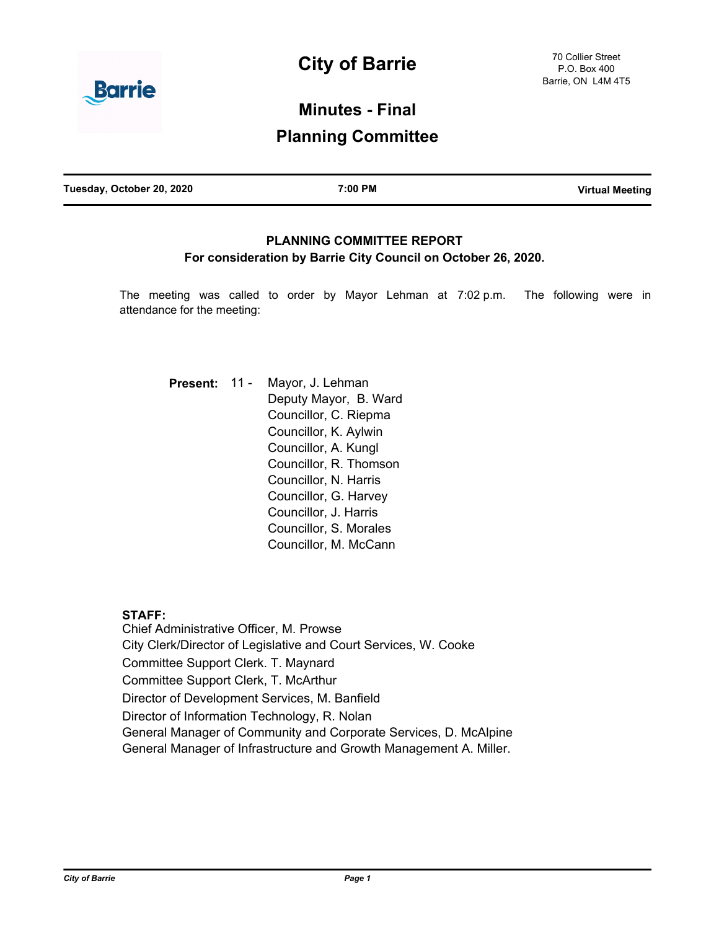

# **Minutes - Final**

# **Planning Committee**

# **PLANNING COMMITTEE REPORT For consideration by Barrie City Council on October 26, 2020.**

The meeting was called to order by Mayor Lehman at 7:02 p.m. The following were in attendance for the meeting:

| Present: 11 - | Mayor, J. Lehman       |
|---------------|------------------------|
|               | Deputy Mayor, B. Ward  |
|               | Councillor, C. Riepma  |
|               | Councillor, K. Aylwin  |
|               | Councillor, A. Kungl   |
|               | Councillor, R. Thomson |
|               | Councillor, N. Harris  |
|               | Councillor, G. Harvey  |
|               | Councillor, J. Harris  |
|               | Councillor, S. Morales |
|               | Councillor, M. McCann  |

# **STAFF:**

Chief Administrative Officer, M. Prowse City Clerk/Director of Legislative and Court Services, W. Cooke Committee Support Clerk. T. Maynard Committee Support Clerk, T. McArthur Director of Development Services, M. Banfield Director of Information Technology, R. Nolan General Manager of Community and Corporate Services, D. McAlpine General Manager of Infrastructure and Growth Management A. Miller.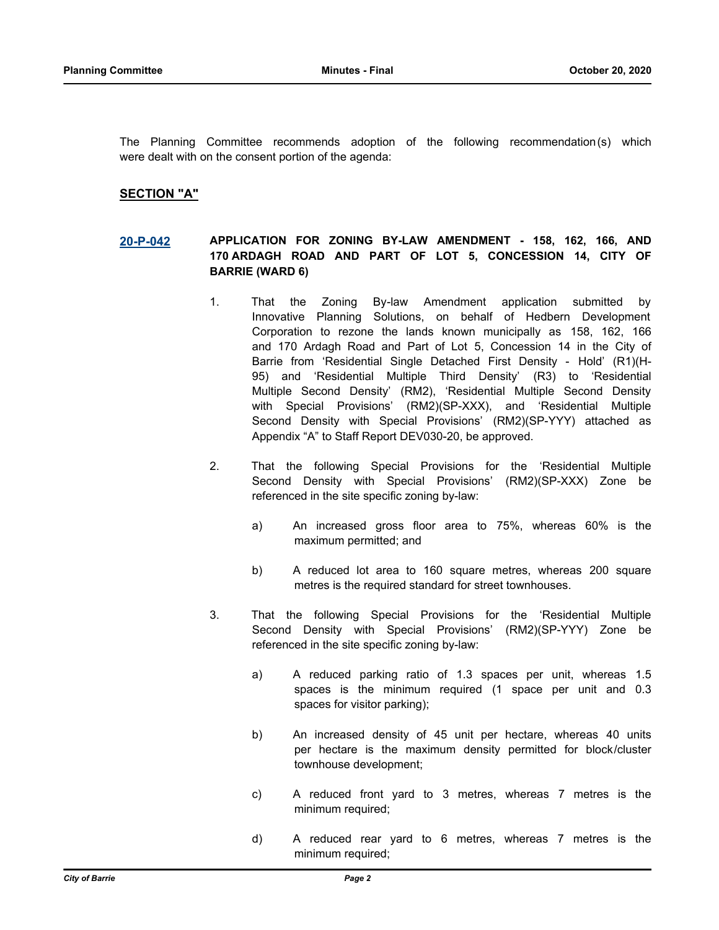The Planning Committee recommends adoption of the following recommendation(s) which were dealt with on the consent portion of the agenda:

# **SECTION "A"**

### **[20-P-042](http://barrie.ca.legistar.com/gateway.aspx?m=l&id=/matter.aspx?key=47839) APPLICATION FOR ZONING BY-LAW AMENDMENT - 158, 162, 166, AND 170 ARDAGH ROAD AND PART OF LOT 5, CONCESSION 14, CITY OF BARRIE (WARD 6)**

- 1. That the Zoning By-law Amendment application submitted by Innovative Planning Solutions, on behalf of Hedbern Development Corporation to rezone the lands known municipally as 158, 162, 166 and 170 Ardagh Road and Part of Lot 5, Concession 14 in the City of Barrie from 'Residential Single Detached First Density - Hold' (R1)(H-95) and 'Residential Multiple Third Density' (R3) to 'Residential Multiple Second Density' (RM2), 'Residential Multiple Second Density with Special Provisions' (RM2)(SP-XXX), and 'Residential Multiple Second Density with Special Provisions' (RM2)(SP-YYY) attached as Appendix "A" to Staff Report DEV030-20, be approved.
- 2. That the following Special Provisions for the 'Residential Multiple Second Density with Special Provisions' (RM2)(SP-XXX) Zone be referenced in the site specific zoning by-law:
	- a) An increased gross floor area to 75%, whereas 60% is the maximum permitted; and
	- b) A reduced lot area to 160 square metres, whereas 200 square metres is the required standard for street townhouses.
- 3. That the following Special Provisions for the 'Residential Multiple Second Density with Special Provisions' (RM2)(SP-YYY) Zone be referenced in the site specific zoning by-law:
	- a) A reduced parking ratio of 1.3 spaces per unit, whereas 1.5 spaces is the minimum required (1 space per unit and 0.3 spaces for visitor parking);
	- b) An increased density of 45 unit per hectare, whereas 40 units per hectare is the maximum density permitted for block/cluster townhouse development;
	- c) A reduced front yard to 3 metres, whereas 7 metres is the minimum required;
	- d) A reduced rear yard to 6 metres, whereas 7 metres is the minimum required;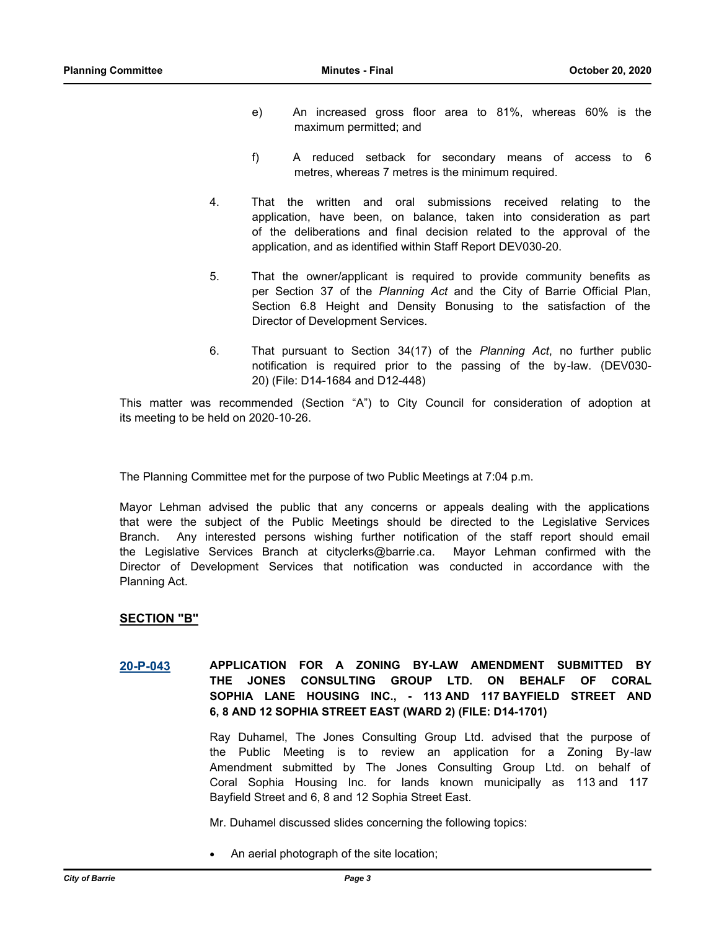- e) An increased gross floor area to 81%, whereas 60% is the maximum permitted; and
- f) A reduced setback for secondary means of access to 6 metres, whereas 7 metres is the minimum required.
- 4. That the written and oral submissions received relating to the application, have been, on balance, taken into consideration as part of the deliberations and final decision related to the approval of the application, and as identified within Staff Report DEV030-20.
- 5. That the owner/applicant is required to provide community benefits as per Section 37 of the *Planning Act* and the City of Barrie Official Plan, Section 6.8 Height and Density Bonusing to the satisfaction of the Director of Development Services.
- 6. That pursuant to Section 34(17) of the *Planning Act*, no further public notification is required prior to the passing of the by-law. (DEV030- 20) (File: D14-1684 and D12-448)

This matter was recommended (Section "A") to City Council for consideration of adoption at its meeting to be held on 2020-10-26.

The Planning Committee met for the purpose of two Public Meetings at 7:04 p.m.

Mayor Lehman advised the public that any concerns or appeals dealing with the applications that were the subject of the Public Meetings should be directed to the Legislative Services Branch. Any interested persons wishing further notification of the staff report should email the Legislative Services Branch at cityclerks@barrie.ca. Mayor Lehman confirmed with the Director of Development Services that notification was conducted in accordance with the Planning Act.

#### **SECTION "B"**

**[20-P-043](http://barrie.ca.legistar.com/gateway.aspx?m=l&id=/matter.aspx?key=47832) APPLICATION FOR A ZONING BY-LAW AMENDMENT SUBMITTED BY THE JONES CONSULTING GROUP LTD. ON BEHALF OF CORAL SOPHIA LANE HOUSING INC., - 113 AND 117 BAYFIELD STREET AND 6, 8 AND 12 SOPHIA STREET EAST (WARD 2) (FILE: D14-1701)** 

> Ray Duhamel, The Jones Consulting Group Ltd. advised that the purpose of the Public Meeting is to review an application for a Zoning By-law Amendment submitted by The Jones Consulting Group Ltd. on behalf of Coral Sophia Housing Inc. for lands known municipally as 113 and 117 Bayfield Street and 6, 8 and 12 Sophia Street East.

Mr. Duhamel discussed slides concerning the following topics:

An aerial photograph of the site location;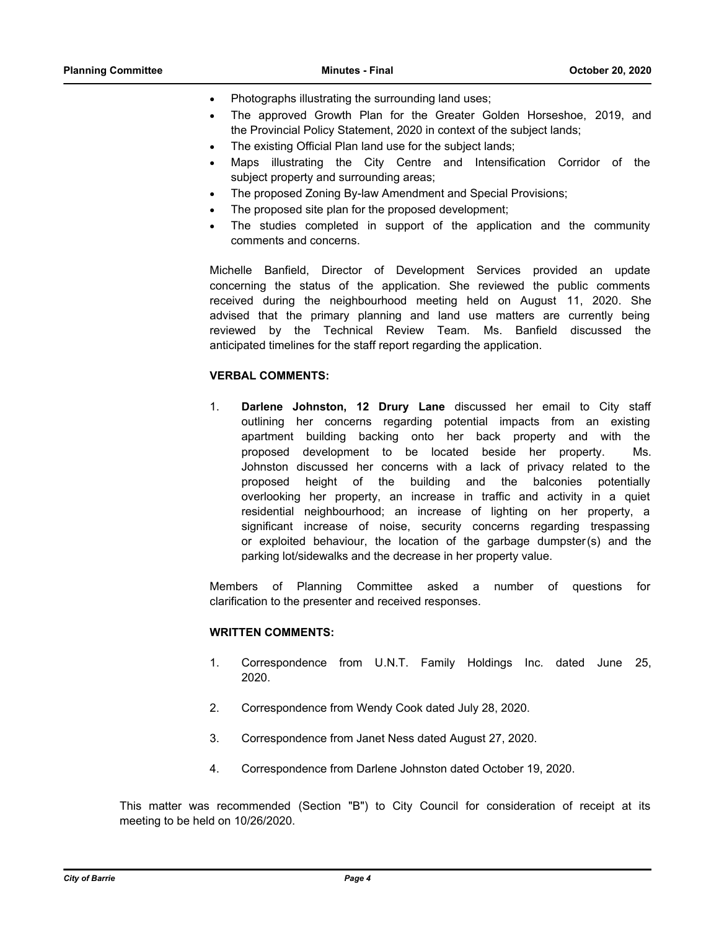- Photographs illustrating the surrounding land uses;
- The approved Growth Plan for the Greater Golden Horseshoe, 2019, and the Provincial Policy Statement, 2020 in context of the subject lands;
- The existing Official Plan land use for the subject lands;
- · Maps illustrating the City Centre and Intensification Corridor of the subject property and surrounding areas;
- The proposed Zoning By-law Amendment and Special Provisions;
- The proposed site plan for the proposed development;
- The studies completed in support of the application and the community comments and concerns.

Michelle Banfield, Director of Development Services provided an update concerning the status of the application. She reviewed the public comments received during the neighbourhood meeting held on August 11, 2020. She advised that the primary planning and land use matters are currently being reviewed by the Technical Review Team. Ms. Banfield discussed the anticipated timelines for the staff report regarding the application.

#### **VERBAL COMMENTS:**

1. **Darlene Johnston, 12 Drury Lane** discussed her email to City staff outlining her concerns regarding potential impacts from an existing apartment building backing onto her back property and with the proposed development to be located beside her property. Ms. Johnston discussed her concerns with a lack of privacy related to the proposed height of the building and the balconies potentially overlooking her property, an increase in traffic and activity in a quiet residential neighbourhood; an increase of lighting on her property, a significant increase of noise, security concerns regarding trespassing or exploited behaviour, the location of the garbage dumpster(s) and the parking lot/sidewalks and the decrease in her property value.

Members of Planning Committee asked a number of questions for clarification to the presenter and received responses.

#### **WRITTEN COMMENTS:**

- 1. Correspondence from U.N.T. Family Holdings Inc. dated June 25, 2020.
- 2. Correspondence from Wendy Cook dated July 28, 2020.
- 3. Correspondence from Janet Ness dated August 27, 2020.
- 4. Correspondence from Darlene Johnston dated October 19, 2020.

This matter was recommended (Section "B") to City Council for consideration of receipt at its meeting to be held on 10/26/2020.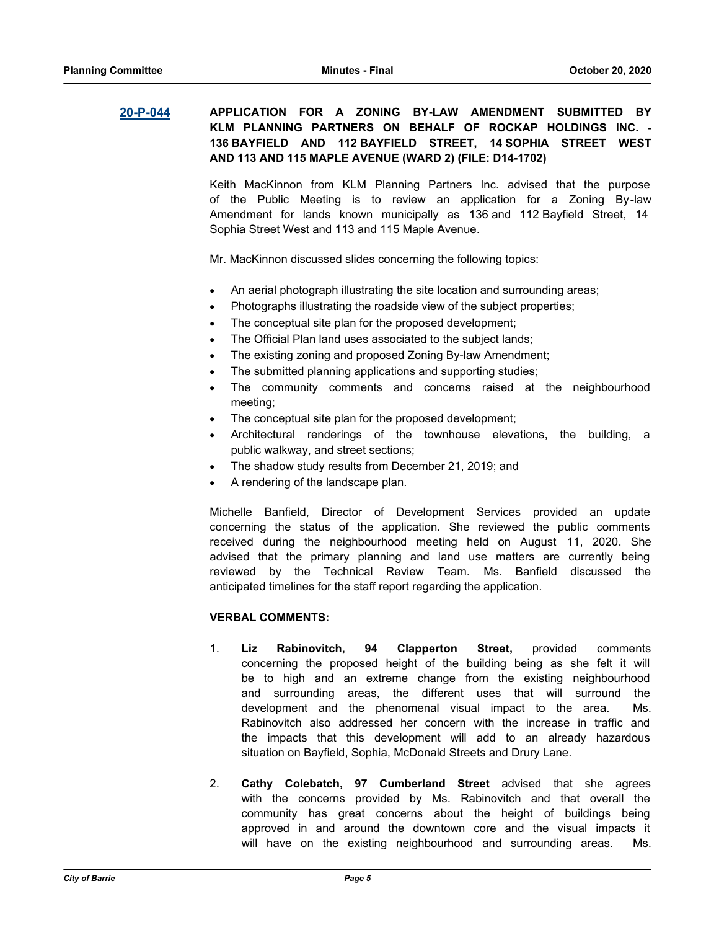## **[20-P-044](http://barrie.ca.legistar.com/gateway.aspx?m=l&id=/matter.aspx?key=47833) APPLICATION FOR A ZONING BY-LAW AMENDMENT SUBMITTED BY KLM PLANNING PARTNERS ON BEHALF OF ROCKAP HOLDINGS INC. - 136 BAYFIELD AND 112 BAYFIELD STREET, 14 SOPHIA STREET WEST AND 113 AND 115 MAPLE AVENUE (WARD 2) (FILE: D14-1702)**

Keith MacKinnon from KLM Planning Partners Inc. advised that the purpose of the Public Meeting is to review an application for a Zoning By-law Amendment for lands known municipally as 136 and 112 Bayfield Street, 14 Sophia Street West and 113 and 115 Maple Avenue.

Mr. MacKinnon discussed slides concerning the following topics:

- An aerial photograph illustrating the site location and surrounding areas;
- Photographs illustrating the roadside view of the subject properties;
- The conceptual site plan for the proposed development;
- The Official Plan land uses associated to the subject lands;
- The existing zoning and proposed Zoning By-law Amendment;
- The submitted planning applications and supporting studies;
- The community comments and concerns raised at the neighbourhood meeting;
- The conceptual site plan for the proposed development;
- Architectural renderings of the townhouse elevations, the building, a public walkway, and street sections;
- The shadow study results from December 21, 2019; and
- A rendering of the landscape plan.

Michelle Banfield, Director of Development Services provided an update concerning the status of the application. She reviewed the public comments received during the neighbourhood meeting held on August 11, 2020. She advised that the primary planning and land use matters are currently being reviewed by the Technical Review Team. Ms. Banfield discussed the anticipated timelines for the staff report regarding the application.

#### **VERBAL COMMENTS:**

- 1. **Liz Rabinovitch, 94 Clapperton Street,** provided comments concerning the proposed height of the building being as she felt it will be to high and an extreme change from the existing neighbourhood and surrounding areas, the different uses that will surround the development and the phenomenal visual impact to the area. Ms. Rabinovitch also addressed her concern with the increase in traffic and the impacts that this development will add to an already hazardous situation on Bayfield, Sophia, McDonald Streets and Drury Lane.
- 2. **Cathy Colebatch, 97 Cumberland Street** advised that she agrees with the concerns provided by Ms. Rabinovitch and that overall the community has great concerns about the height of buildings being approved in and around the downtown core and the visual impacts it will have on the existing neighbourhood and surrounding areas. Ms.